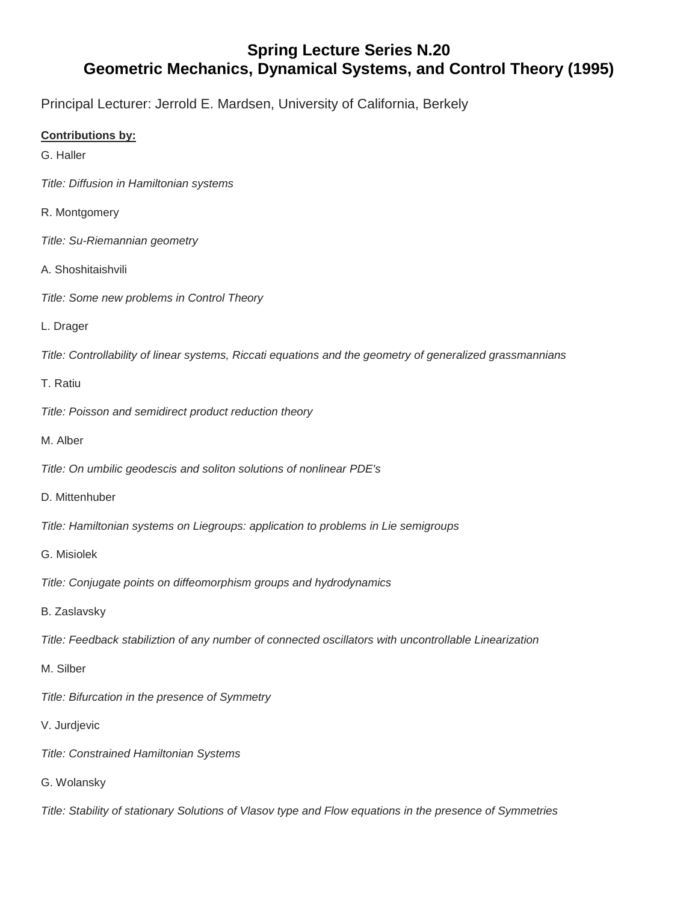## **Spring Lecture Series N.20 Geometric Mechanics, Dynamical Systems, and Control Theory (1995)**

Principal Lecturer: Jerrold E. Mardsen, University of California, Berkely

## **Contributions by:**

- G. Haller
- *Title: Diffusion in Hamiltonian systems*
- R. Montgomery
- *Title: Su-Riemannian geometry*
- A. Shoshitaishvili
- *Title: Some new problems in Control Theory*
- L. Drager

*Title: Controllability of linear systems, Riccati equations and the geometry of generalized grassmannians*

## T. Ratiu

- *Title: Poisson and semidirect product reduction theory*
- M. Alber
- *Title: On umbilic geodescis and soliton solutions of nonlinear PDE's*
- D. Mittenhuber
- *Title: Hamiltonian systems on Liegroups: application to problems in Lie semigroups*
- G. Misiolek
- *Title: Conjugate points on diffeomorphism groups and hydrodynamics*
- B. Zaslavsky
- *Title: Feedback stabiliztion of any number of connected oscillators with uncontrollable Linearization*
- M. Silber
- *Title: Bifurcation in the presence of Symmetry*
- V. Jurdjevic
- *Title: Constrained Hamiltonian Systems*
- G. Wolansky

*Title: Stability of stationary Solutions of Vlasov type and Flow equations in the presence of Symmetries*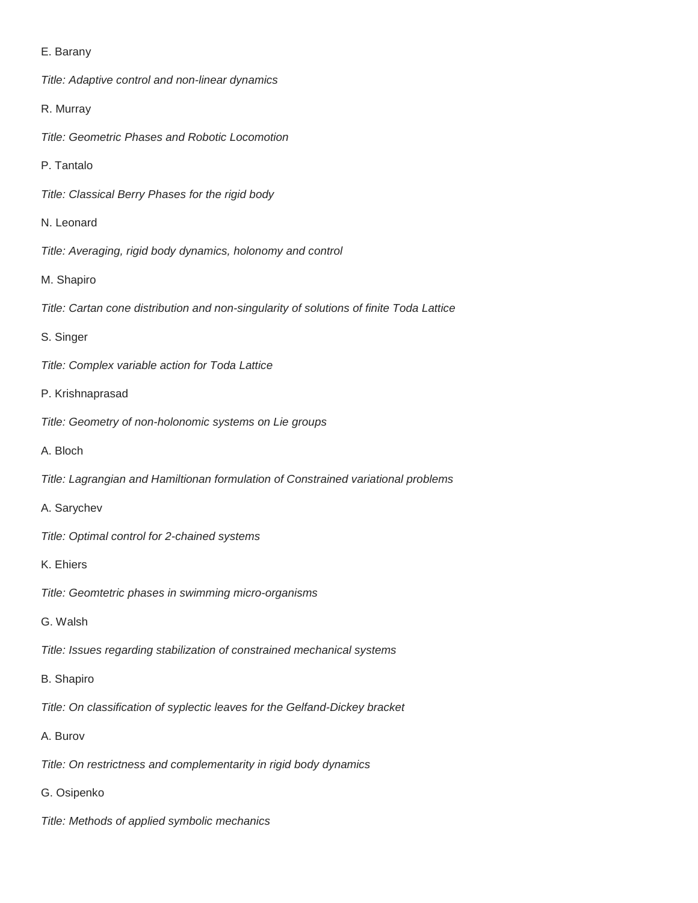## E. Barany

*Title: Adaptive control and non-linear dynamics*

R. Murray

*Title: Geometric Phases and Robotic Locomotion*

P. Tantalo

*Title: Classical Berry Phases for the rigid body*

N. Leonard

*Title: Averaging, rigid body dynamics, holonomy and control*

M. Shapiro

*Title: Cartan cone distribution and non-singularity of solutions of finite Toda Lattice*

S. Singer

*Title: Complex variable action for Toda Lattice*

P. Krishnaprasad

*Title: Geometry of non-holonomic systems on Lie groups*

A. Bloch

*Title: Lagrangian and Hamiltionan formulation of Constrained variational problems*

A. Sarychev

*Title: Optimal control for 2-chained systems*

K. Ehiers

*Title: Geomtetric phases in swimming micro-organisms*

G. Walsh

*Title: Issues regarding stabilization of constrained mechanical systems*

B. Shapiro

*Title: On classification of syplectic leaves for the Gelfand-Dickey bracket*

A. Burov

*Title: On restrictness and complementarity in rigid body dynamics*

G. Osipenko

*Title: Methods of applied symbolic mechanics*